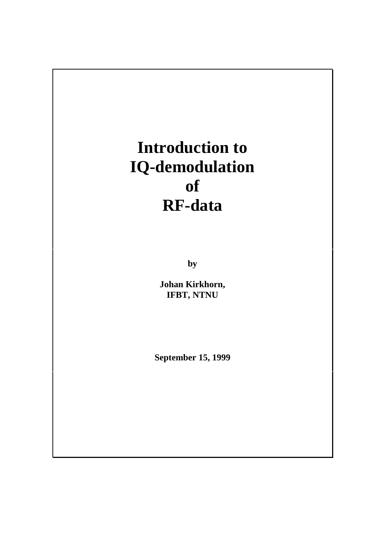# **Introduction to IQ-demodulation of RF-data**

**by**

**Johan Kirkhorn, IFBT, NTNU**

**September 15, 1999**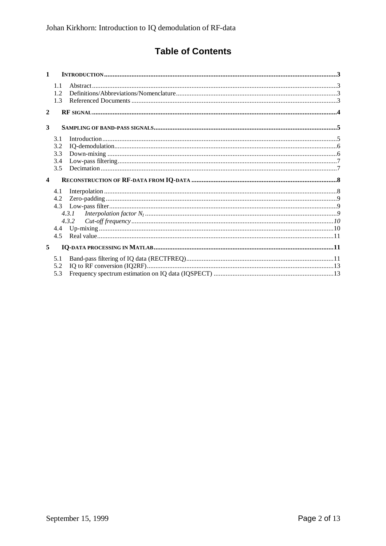# **Table of Contents**

| $\mathbf{1}$            |                                 |                |  |
|-------------------------|---------------------------------|----------------|--|
|                         | 1.1<br>1.2<br>1.3               |                |  |
| $\mathbf{2}$            |                                 |                |  |
| 3                       |                                 |                |  |
| $\overline{\mathbf{4}}$ | 3.1<br>3.2<br>3.3<br>3.4<br>3.5 |                |  |
|                         | 4.1<br>4.2<br>4.3               | 4.3.1<br>4.3.2 |  |
|                         | 4.4<br>4.5                      |                |  |
| 5                       |                                 |                |  |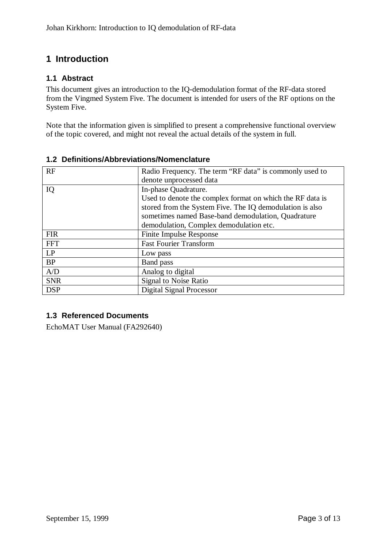# **1 Introduction**

#### **1.1 Abstract**

This document gives an introduction to the IQ-demodulation format of the RF-data stored from the Vingmed System Five. The document is intended for users of the RF options on the System Five.

Note that the information given is simplified to present a comprehensive functional overview of the topic covered, and might not reveal the actual details of the system in full.

| RF         | Radio Frequency. The term "RF data" is commonly used to   |
|------------|-----------------------------------------------------------|
|            | denote unprocessed data                                   |
| IQ         | In-phase Quadrature.                                      |
|            | Used to denote the complex format on which the RF data is |
|            | stored from the System Five. The IQ demodulation is also  |
|            | sometimes named Base-band demodulation, Quadrature        |
|            | demodulation, Complex demodulation etc.                   |
| <b>FIR</b> | <b>Finite Impulse Response</b>                            |
| <b>FFT</b> | <b>Fast Fourier Transform</b>                             |
| LP         | Low pass                                                  |
| <b>BP</b>  | Band pass                                                 |
| A/D        | Analog to digital                                         |
| <b>SNR</b> | <b>Signal to Noise Ratio</b>                              |
| <b>DSP</b> | <b>Digital Signal Processor</b>                           |

#### **1.2 Definitions/Abbreviations/Nomenclature**

## **1.3 Referenced Documents**

EchoMAT User Manual (FA292640)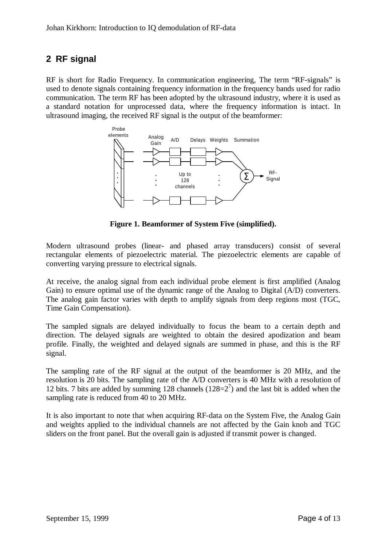# **2 RF signal**

RF is short for Radio Frequency. In communication engineering, The term "RF-signals" is used to denote signals containing frequency information in the frequency bands used for radio communication. The term RF has been adopted by the ultrasound industry, where it is used as a standard notation for unprocessed data, where the frequency information is intact. In ultrasound imaging, the received RF signal is the output of the beamformer:



**Figure 1. Beamformer of System Five (simplified).**

Modern ultrasound probes (linear- and phased array transducers) consist of several rectangular elements of piezoelectric material. The piezoelectric elements are capable of converting varying pressure to electrical signals.

At receive, the analog signal from each individual probe element is first amplified (Analog Gain) to ensure optimal use of the dynamic range of the Analog to Digital (A/D) converters. The analog gain factor varies with depth to amplify signals from deep regions most (TGC, Time Gain Compensation).

The sampled signals are delayed individually to focus the beam to a certain depth and direction. The delayed signals are weighted to obtain the desired apodization and beam profile. Finally, the weighted and delayed signals are summed in phase, and this is the RF signal.

The sampling rate of the RF signal at the output of the beamformer is 20 MHz, and the resolution is 20 bits. The sampling rate of the A/D converters is 40 MHz with a resolution of 12 bits. 7 bits are added by summing 128 channels  $(128=2^7)$  and the last bit is added when the sampling rate is reduced from 40 to 20 MHz.

It is also important to note that when acquiring RF-data on the System Five, the Analog Gain and weights applied to the individual channels are not affected by the Gain knob and TGC sliders on the front panel. But the overall gain is adjusted if transmit power is changed.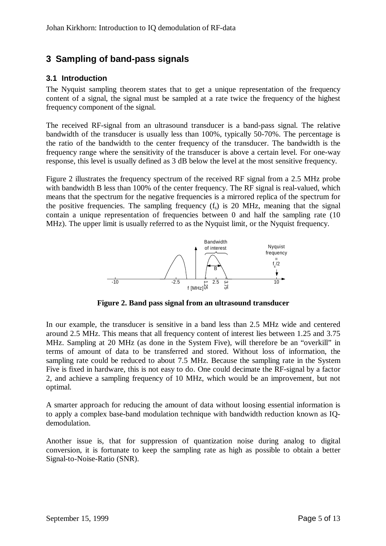# **3 Sampling of band-pass signals**

#### **3.1 Introduction**

The Nyquist sampling theorem states that to get a unique representation of the frequency content of a signal, the signal must be sampled at a rate twice the frequency of the highest frequency component of the signal.

The received RF-signal from an ultrasound transducer is a band-pass signal. The relative bandwidth of the transducer is usually less than 100%, typically 50-70%. The percentage is the ratio of the bandwidth to the center frequency of the transducer. The bandwidth is the frequency range where the sensitivity of the transducer is above a certain level. For one-way response, this level is usually defined as 3 dB below the level at the most sensitive frequency.

Figure 2 illustrates the frequency spectrum of the received RF signal from a 2.5 MHz probe with bandwidth B less than 100% of the center frequency. The RF signal is real-valued, which means that the spectrum for the negative frequencies is a mirrored replica of the spectrum for the positive frequencies. The sampling frequency  $(f_s)$  is 20 MHz, meaning that the signal contain a unique representation of frequencies between 0 and half the sampling rate (10 MHz). The upper limit is usually referred to as the Nyquist limit, or the Nyquist frequency.



**Figure 2. Band pass signal from an ultrasound transducer**

In our example, the transducer is sensitive in a band less than 2.5 MHz wide and centered around 2.5 MHz. This means that all frequency content of interest lies between 1.25 and 3.75 MHz. Sampling at 20 MHz (as done in the System Five), will therefore be an "overkill" in terms of amount of data to be transferred and stored. Without loss of information, the sampling rate could be reduced to about 7.5 MHz. Because the sampling rate in the System Five is fixed in hardware, this is not easy to do. One could decimate the RF-signal by a factor 2, and achieve a sampling frequency of 10 MHz, which would be an improvement, but not optimal.

A smarter approach for reducing the amount of data without loosing essential information is to apply a complex base-band modulation technique with bandwidth reduction known as IQdemodulation.

Another issue is, that for suppression of quantization noise during analog to digital conversion, it is fortunate to keep the sampling rate as high as possible to obtain a better Signal-to-Noise-Ratio (SNR).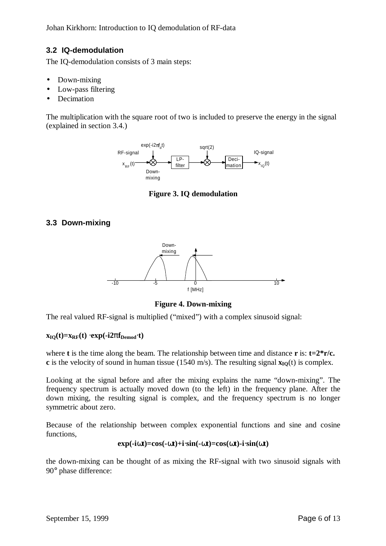### **3.2 IQ-demodulation**

The IQ-demodulation consists of 3 main steps:

- Down-mixing
- Low-pass filtering
- Decimation

The multiplication with the square root of two is included to preserve the energy in the signal (explained in section 3.4.)



**Figure 3. IQ demodulation**

#### **3.3 Down-mixing**



**Figure 4. Down-mixing**

The real valued RF-signal is multiplied ("mixed") with a complex sinusoid signal:

#### $\mathbf{x}_{\text{IO}}(t) = \mathbf{x}_{\text{RF}}(t) \times \mathbf{exp}(-i2\mathbf{p}f_{\text{Demod}}t)$

where **t** is the time along the beam. The relationship between time and distance **r** is: **t=2\*r/c. c** is the velocity of sound in human tissue (1540 m/s). The resulting signal  $\mathbf{x}_{\text{IO}}(t)$  is complex.

Looking at the signal before and after the mixing explains the name "down-mixing". The frequency spectrum is actually moved down (to the left) in the frequency plane. After the down mixing, the resulting signal is complex, and the frequency spectrum is no longer symmetric about zero.

Because of the relationship between complex exponential functions and sine and cosine functions,

#### $\exp(-i\mathbf{w}t) = \cos(-\mathbf{w}t) + i\sin(-\mathbf{w}t) = \cos(\mathbf{w}t) - i\sin(\mathbf{w}t)$

the down-mixing can be thought of as mixing the RF-signal with two sinusoid signals with 90° phase difference: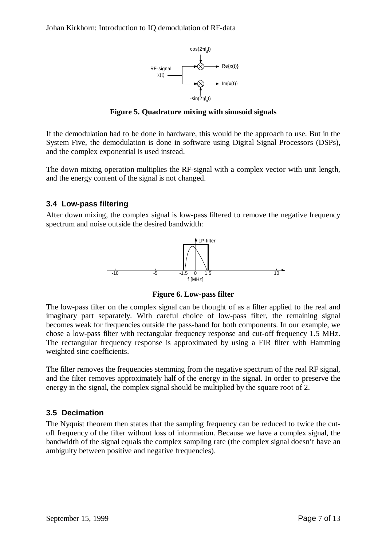

**Figure 5. Quadrature mixing with sinusoid signals**

If the demodulation had to be done in hardware, this would be the approach to use. But in the System Five, the demodulation is done in software using Digital Signal Processors (DSPs), and the complex exponential is used instead.

The down mixing operation multiplies the RF-signal with a complex vector with unit length, and the energy content of the signal is not changed.

#### **3.4 Low-pass filtering**

After down mixing, the complex signal is low-pass filtered to remove the negative frequency spectrum and noise outside the desired bandwidth:



**Figure 6. Low-pass filter**

The low-pass filter on the complex signal can be thought of as a filter applied to the real and imaginary part separately. With careful choice of low-pass filter, the remaining signal becomes weak for frequencies outside the pass-band for both components. In our example, we chose a low-pass filter with rectangular frequency response and cut-off frequency 1.5 MHz. The rectangular frequency response is approximated by using a FIR filter with Hamming weighted sinc coefficients.

The filter removes the frequencies stemming from the negative spectrum of the real RF signal, and the filter removes approximately half of the energy in the signal. In order to preserve the energy in the signal, the complex signal should be multiplied by the square root of 2.

#### **3.5 Decimation**

The Nyquist theorem then states that the sampling frequency can be reduced to twice the cutoff frequency of the filter without loss of information. Because we have a complex signal, the bandwidth of the signal equals the complex sampling rate (the complex signal doesn't have an ambiguity between positive and negative frequencies).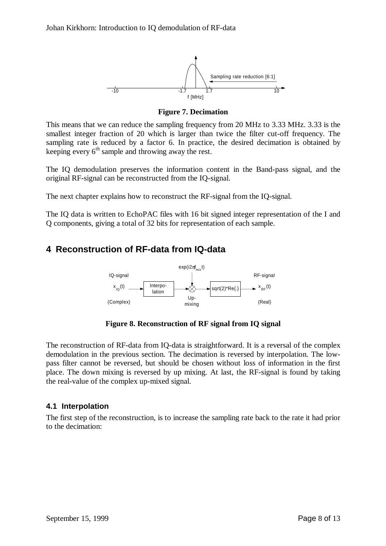

**Figure 7. Decimation**

This means that we can reduce the sampling frequency from 20 MHz to 3.33 MHz. 3.33 is the smallest integer fraction of 20 which is larger than twice the filter cut-off frequency. The sampling rate is reduced by a factor 6. In practice, the desired decimation is obtained by keeping every  $6<sup>th</sup>$  sample and throwing away the rest.

The IQ demodulation preserves the information content in the Band-pass signal, and the original RF-signal can be reconstructed from the IQ-signal.

The next chapter explains how to reconstruct the RF-signal from the IQ-signal.

The IQ data is written to EchoPAC files with 16 bit signed integer representation of the I and Q components, giving a total of 32 bits for representation of each sample.

# **4 Reconstruction of RF-data from IQ-data**



**Figure 8. Reconstruction of RF signal from IQ signal**

The reconstruction of RF-data from IQ-data is straightforward. It is a reversal of the complex demodulation in the previous section. The decimation is reversed by interpolation. The lowpass filter cannot be reversed, but should be chosen without loss of information in the first place. The down mixing is reversed by up mixing. At last, the RF-signal is found by taking the real-value of the complex up-mixed signal.

#### **4.1 Interpolation**

The first step of the reconstruction, is to increase the sampling rate back to the rate it had prior to the decimation: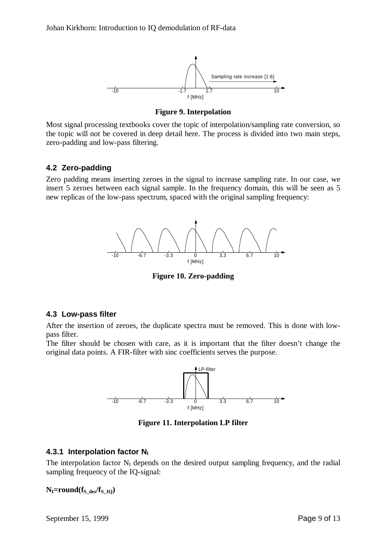

**Figure 9. Interpolation**

Most signal processing textbooks cover the topic of interpolation/sampling rate conversion, so the topic will not be covered in deep detail here. The process is divided into two main steps, zero-padding and low-pass filtering.

#### **4.2 Zero-padding**

Zero padding means inserting zeroes in the signal to increase sampling rate. In our case, we insert 5 zeroes between each signal sample. In the frequency domain, this will be seen as 5 new replicas of the low-pass spectrum, spaced with the original sampling frequency:



**Figure 10. Zero-padding**

#### **4.3 Low-pass filter**

After the insertion of zeroes, the duplicate spectra must be removed. This is done with lowpass filter.

The filter should be chosen with care, as it is important that the filter doesn't change the original data points. A FIR-filter with sinc coefficients serves the purpose.



**Figure 11. Interpolation LP filter**

## **4.3.1 Interpolation factor N<sup>I</sup>**

The interpolation factor  $N_I$  depends on the desired output sampling frequency, and the radial sampling frequency of the IQ-signal:

 $N_I$ =round( $f_S$ <sub>des</sub>/ $f_S$ <sub>IO</sub>)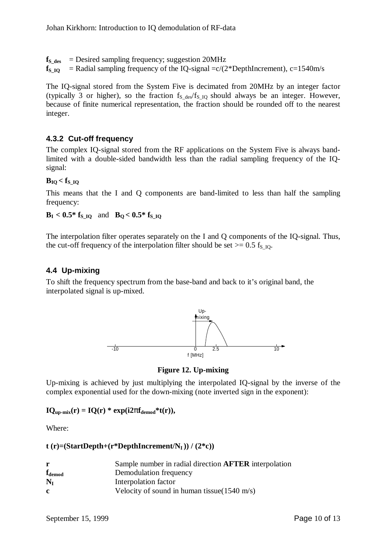$f_{\text{S}_\text{des}}$  = Desired sampling frequency; suggestion 20MHz

 $f_s$ <sub>IQ</sub> = Radial sampling frequency of the IQ-signal  $=c/(2*D$ epthIncrement), c=1540m/s

The IQ-signal stored from the System Five is decimated from 20MHz by an integer factor (typically 3 or higher), so the fraction  $f_S$  des/ $f_S$  IQ should always be an integer. However, because of finite numerical representation, the fraction should be rounded off to the nearest integer.

#### **4.3.2 Cut-off frequency**

The complex IQ-signal stored from the RF applications on the System Five is always bandlimited with a double-sided bandwidth less than the radial sampling frequency of the IQsignal:

#### $B_{IO} < f_{SIO}$

This means that the I and Q components are band-limited to less than half the sampling frequency:

 $B_I < 0.5*$  **f**<sub>S\_IQ</sub> and  $B_O < 0.5*$  **f**<sub>S\_IQ</sub>

The interpolation filter operates separately on the I and Q components of the IQ-signal. Thus, the cut-off frequency of the interpolation filter should be set  $> = 0.5$  f<sub>S\_IO</sub>.

#### **4.4 Up-mixing**

To shift the frequency spectrum from the base-band and back to it's original band, the interpolated signal is up-mixed.



**Figure 12. Up-mixing**

Up-mixing is achieved by just multiplying the interpolated IQ-signal by the inverse of the complex exponential used for the down-mixing (note inverted sign in the exponent):

 $IQ_{\text{up-mix}}(r) = IQ(r) * exp(i2p f_{\text{demod}} * t(r)),$ 

Where:

#### $t$  (**r**)=(StartDepth+(**r**\*DepthIncrement/ $N_I$ )) / (2\*c))

|                               | Sample number in radial direction <b>AFTER</b> interpolation |
|-------------------------------|--------------------------------------------------------------|
| $\mathbf{f}_{\mathbf{demod}}$ | Demodulation frequency                                       |
| $N_I$                         | Interpolation factor                                         |
| c                             | Velocity of sound in human tissue $(1540 \text{ m/s})$       |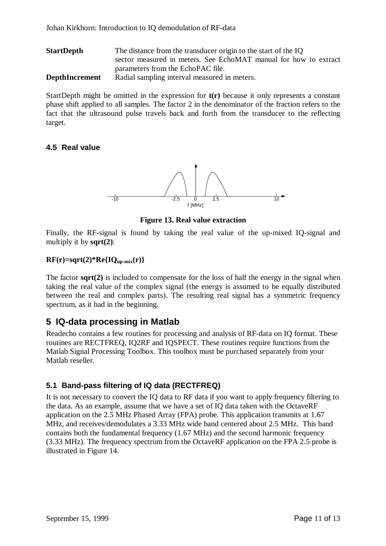Johan Kirkhorn: Introduction to IQ demodulation of RF-data

| <b>StartDepth</b>     | The distance from the transducer origin to the start of the IQ   |
|-----------------------|------------------------------------------------------------------|
|                       | sector measured in meters. See EchoMAT manual for how to extract |
|                       | parameters from the EchoPAC file.                                |
| <b>DepthIncrement</b> | Radial sampling interval measured in meters.                     |

StartDepth might be omitted in the expression for **t(r)** because it only represents a constant phase shift applied to all samples. The factor 2 in the denominator of the fraction refers to the fact that the ultrasound pulse travels back and forth from the transducer to the reflecting target.

#### **4.5 Real value**



**Figure 13. Real value extraction**

Finally, the RF-signal is found by taking the real value of the up-mixed IQ-signal and multiply it by **sqrt(2)**:

#### **RF(r)=sqrt(2)\*Re{IQup-mix(r)}**

The factor **sqrt(2)** is included to compensate for the loss of half the energy in the signal when taking the real value of the complex signal (the energy is assumed to be equally distributed between the real and complex parts). The resulting real signal has a symmetric frequency spectrum, as it had in the beginning.

## **5 IQ-data processing in Matlab**

Readecho contains a few routines for processing and analysis of RF-data on IQ format. These routines are RECTFREQ, IQ2RF and IQSPECT. These routines require functions from the Matlab Signal Processing Toolbox. This toolbox must be purchased separately from your Matlab reseller.

#### **5.1 Band-pass filtering of IQ data (RECTFREQ)**

It is not necessary to convert the IQ data to RF data if you want to apply frequency filtering to the data. As an example, assume that we have a set of IQ data taken with the OctaveRF application on the 2.5 MHz Phased Array (FPA) probe. This application transmits at 1.67 MHz, and receives/demodulates a 3.33 MHz wide band centered about 2.5 MHz. This band contains both the fundamental frequency (1.67 MHz) and the second harmonic frequency (3.33 MHz). The frequency spectrum from the OctaveRF application on the FPA 2.5 probe is illustrated in Figure 14.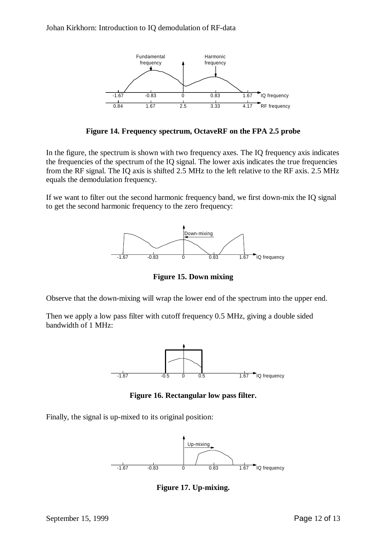

**Figure 14. Frequency spectrum, OctaveRF on the FPA 2.5 probe**

In the figure, the spectrum is shown with two frequency axes. The IQ frequency axis indicates the frequencies of the spectrum of the IQ signal. The lower axis indicates the true frequencies from the RF signal. The IQ axis is shifted 2.5 MHz to the left relative to the RF axis. 2.5 MHz equals the demodulation frequency.

If we want to filter out the second harmonic frequency band, we first down-mix the IQ signal to get the second harmonic frequency to the zero frequency:



**Figure 15. Down mixing**

Observe that the down-mixing will wrap the lower end of the spectrum into the upper end.

Then we apply a low pass filter with cutoff frequency 0.5 MHz, giving a double sided bandwidth of 1 MHz:



**Figure 16. Rectangular low pass filter.**

Finally, the signal is up-mixed to its original position:



**Figure 17. Up-mixing.**